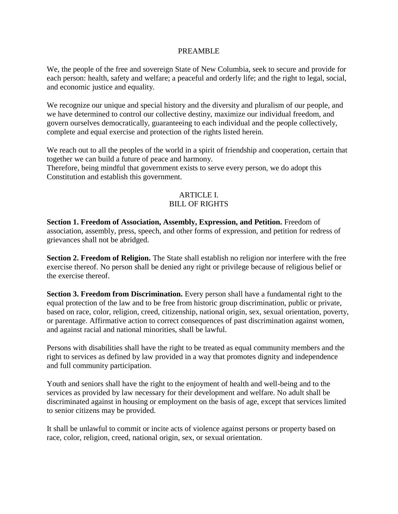#### PREAMBLE

We, the people of the free and sovereign State of New Columbia, seek to secure and provide for each person: health, safety and welfare; a peaceful and orderly life; and the right to legal, social, and economic justice and equality.

We recognize our unique and special history and the diversity and pluralism of our people, and we have determined to control our collective destiny, maximize our individual freedom, and govern ourselves democratically, guaranteeing to each individual and the people collectively, complete and equal exercise and protection of the rights listed herein.

We reach out to all the peoples of the world in a spirit of friendship and cooperation, certain that together we can build a future of peace and harmony.

Therefore, being mindful that government exists to serve every person, we do adopt this Constitution and establish this government.

### ARTICLE I. BILL OF RIGHTS

**Section 1. Freedom of Association, Assembly, Expression, and Petition.** Freedom of association, assembly, press, speech, and other forms of expression, and petition for redress of grievances shall not be abridged.

**Section 2. Freedom of Religion.** The State shall establish no religion nor interfere with the free exercise thereof. No person shall be denied any right or privilege because of religious belief or the exercise thereof.

**Section 3. Freedom from Discrimination.** Every person shall have a fundamental right to the equal protection of the law and to be free from historic group discrimination, public or private, based on race, color, religion, creed, citizenship, national origin, sex, sexual orientation, poverty, or parentage. Affirmative action to correct consequences of past discrimination against women, and against racial and national minorities, shall be lawful.

Persons with disabilities shall have the right to be treated as equal community members and the right to services as defined by law provided in a way that promotes dignity and independence and full community participation.

Youth and seniors shall have the right to the enjoyment of health and well-being and to the services as provided by law necessary for their development and welfare. No adult shall be discriminated against in housing or employment on the basis of age, except that services limited to senior citizens may be provided.

It shall be unlawful to commit or incite acts of violence against persons or property based on race, color, religion, creed, national origin, sex, or sexual orientation.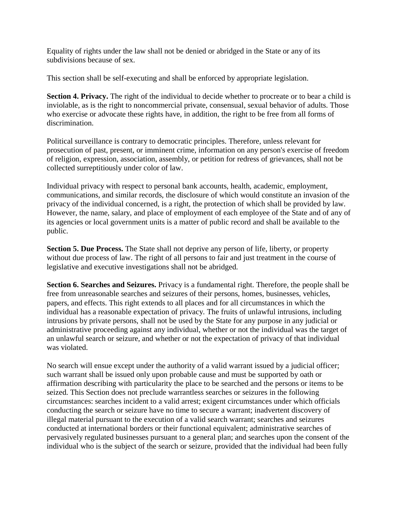Equality of rights under the law shall not be denied or abridged in the State or any of its subdivisions because of sex.

This section shall be self-executing and shall be enforced by appropriate legislation.

**Section 4. Privacy.** The right of the individual to decide whether to procreate or to bear a child is inviolable, as is the right to noncommercial private, consensual, sexual behavior of adults. Those who exercise or advocate these rights have, in addition, the right to be free from all forms of discrimination.

Political surveillance is contrary to democratic principles. Therefore, unless relevant for prosecution of past, present, or imminent crime, information on any person's exercise of freedom of religion, expression, association, assembly, or petition for redress of grievances, shall not be collected surreptitiously under color of law.

Individual privacy with respect to personal bank accounts, health, academic, employment, communications, and similar records, the disclosure of which would constitute an invasion of the privacy of the individual concerned, is a right, the protection of which shall be provided by law. However, the name, salary, and place of employment of each employee of the State and of any of its agencies or local government units is a matter of public record and shall be available to the public.

**Section 5. Due Process.** The State shall not deprive any person of life, liberty, or property without due process of law. The right of all persons to fair and just treatment in the course of legislative and executive investigations shall not be abridged.

**Section 6. Searches and Seizures.** Privacy is a fundamental right. Therefore, the people shall be free from unreasonable searches and seizures of their persons, homes, businesses, vehicles, papers, and effects. This right extends to all places and for all circumstances in which the individual has a reasonable expectation of privacy. The fruits of unlawful intrusions, including intrusions by private persons, shall not be used by the State for any purpose in any judicial or administrative proceeding against any individual, whether or not the individual was the target of an unlawful search or seizure, and whether or not the expectation of privacy of that individual was violated.

No search will ensue except under the authority of a valid warrant issued by a judicial officer; such warrant shall be issued only upon probable cause and must be supported by oath or affirmation describing with particularity the place to be searched and the persons or items to be seized. This Section does not preclude warrantless searches or seizures in the following circumstances: searches incident to a valid arrest; exigent circumstances under which officials conducting the search or seizure have no time to secure a warrant; inadvertent discovery of illegal material pursuant to the execution of a valid search warrant; searches and seizures conducted at international borders or their functional equivalent; administrative searches of pervasively regulated businesses pursuant to a general plan; and searches upon the consent of the individual who is the subject of the search or seizure, provided that the individual had been fully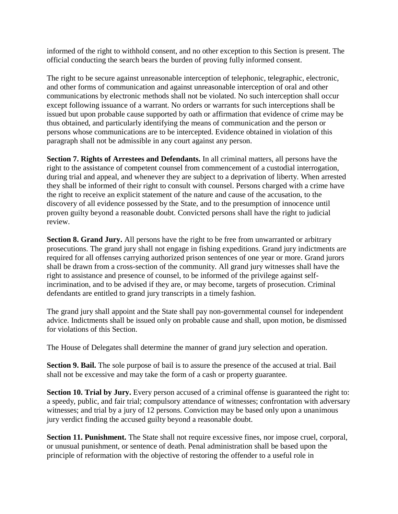informed of the right to withhold consent, and no other exception to this Section is present. The official conducting the search bears the burden of proving fully informed consent.

The right to be secure against unreasonable interception of telephonic, telegraphic, electronic, and other forms of communication and against unreasonable interception of oral and other communications by electronic methods shall not be violated. No such interception shall occur except following issuance of a warrant. No orders or warrants for such interceptions shall be issued but upon probable cause supported by oath or affirmation that evidence of crime may be thus obtained, and particularly identifying the means of communication and the person or persons whose communications are to be intercepted. Evidence obtained in violation of this paragraph shall not be admissible in any court against any person.

**Section 7. Rights of Arrestees and Defendants.** In all criminal matters, all persons have the right to the assistance of competent counsel from commencement of a custodial interrogation, during trial and appeal, and whenever they are subject to a deprivation of liberty. When arrested they shall be informed of their right to consult with counsel. Persons charged with a crime have the right to receive an explicit statement of the nature and cause of the accusation, to the discovery of all evidence possessed by the State, and to the presumption of innocence until proven guilty beyond a reasonable doubt. Convicted persons shall have the right to judicial review.

**Section 8. Grand Jury.** All persons have the right to be free from unwarranted or arbitrary prosecutions. The grand jury shall not engage in fishing expeditions. Grand jury indictments are required for all offenses carrying authorized prison sentences of one year or more. Grand jurors shall be drawn from a cross-section of the community. All grand jury witnesses shall have the right to assistance and presence of counsel, to be informed of the privilege against selfincrimination, and to be advised if they are, or may become, targets of prosecution. Criminal defendants are entitled to grand jury transcripts in a timely fashion.

The grand jury shall appoint and the State shall pay non-governmental counsel for independent advice. Indictments shall be issued only on probable cause and shall, upon motion, be dismissed for violations of this Section.

The House of Delegates shall determine the manner of grand jury selection and operation.

**Section 9. Bail.** The sole purpose of bail is to assure the presence of the accused at trial. Bail shall not be excessive and may take the form of a cash or property guarantee.

**Section 10. Trial by Jury.** Every person accused of a criminal offense is guaranteed the right to: a speedy, public, and fair trial; compulsory attendance of witnesses; confrontation with adversary witnesses; and trial by a jury of 12 persons. Conviction may be based only upon a unanimous jury verdict finding the accused guilty beyond a reasonable doubt.

**Section 11. Punishment.** The State shall not require excessive fines, nor impose cruel, corporal, or unusual punishment, or sentence of death. Penal administration shall be based upon the principle of reformation with the objective of restoring the offender to a useful role in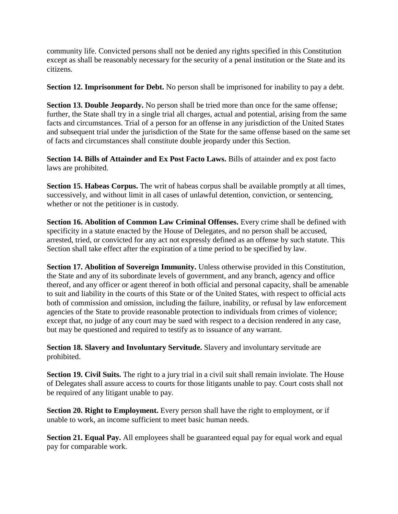community life. Convicted persons shall not be denied any rights specified in this Constitution except as shall be reasonably necessary for the security of a penal institution or the State and its citizens.

**Section 12. Imprisonment for Debt.** No person shall be imprisoned for inability to pay a debt.

**Section 13. Double Jeopardy.** No person shall be tried more than once for the same offense; further, the State shall try in a single trial all charges, actual and potential, arising from the same facts and circumstances. Trial of a person for an offense in any jurisdiction of the United States and subsequent trial under the jurisdiction of the State for the same offense based on the same set of facts and circumstances shall constitute double jeopardy under this Section.

**Section 14. Bills of Attainder and Ex Post Facto Laws.** Bills of attainder and ex post facto laws are prohibited.

**Section 15. Habeas Corpus.** The writ of habeas corpus shall be available promptly at all times, successively, and without limit in all cases of unlawful detention, conviction, or sentencing, whether or not the petitioner is in custody.

**Section 16. Abolition of Common Law Criminal Offenses.** Every crime shall be defined with specificity in a statute enacted by the House of Delegates, and no person shall be accused, arrested, tried, or convicted for any act not expressly defined as an offense by such statute. This Section shall take effect after the expiration of a time period to be specified by law.

**Section 17. Abolition of Sovereign Immunity.** Unless otherwise provided in this Constitution, the State and any of its subordinate levels of government, and any branch, agency and office thereof, and any officer or agent thereof in both official and personal capacity, shall be amenable to suit and liability in the courts of this State or of the United States, with respect to official acts both of commission and omission, including the failure, inability, or refusal by law enforcement agencies of the State to provide reasonable protection to individuals from crimes of violence; except that, no judge of any court may be sued with respect to a decision rendered in any case, but may be questioned and required to testify as to issuance of any warrant.

**Section 18. Slavery and Involuntary Servitude.** Slavery and involuntary servitude are prohibited.

**Section 19. Civil Suits.** The right to a jury trial in a civil suit shall remain inviolate. The House of Delegates shall assure access to courts for those litigants unable to pay. Court costs shall not be required of any litigant unable to pay.

**Section 20. Right to Employment.** Every person shall have the right to employment, or if unable to work, an income sufficient to meet basic human needs.

**Section 21. Equal Pay.** All employees shall be guaranteed equal pay for equal work and equal pay for comparable work.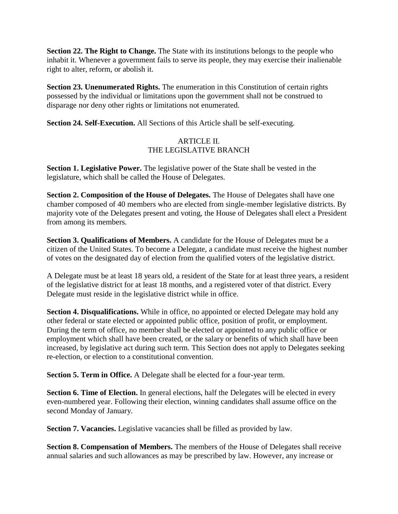**Section 22. The Right to Change.** The State with its institutions belongs to the people who inhabit it. Whenever a government fails to serve its people, they may exercise their inalienable right to alter, reform, or abolish it.

**Section 23. Unenumerated Rights.** The enumeration in this Constitution of certain rights possessed by the individual or limitations upon the government shall not be construed to disparage nor deny other rights or limitations not enumerated.

**Section 24. Self-Execution.** All Sections of this Article shall be self-executing.

# ARTICLE II. THE LEGISLATIVE BRANCH

**Section 1. Legislative Power.** The legislative power of the State shall be vested in the legislature, which shall be called the House of Delegates.

**Section 2. Composition of the House of Delegates.** The House of Delegates shall have one chamber composed of 40 members who are elected from single-member legislative districts. By majority vote of the Delegates present and voting, the House of Delegates shall elect a President from among its members.

**Section 3. Qualifications of Members.** A candidate for the House of Delegates must be a citizen of the United States. To become a Delegate, a candidate must receive the highest number of votes on the designated day of election from the qualified voters of the legislative district.

A Delegate must be at least 18 years old, a resident of the State for at least three years, a resident of the legislative district for at least 18 months, and a registered voter of that district. Every Delegate must reside in the legislative district while in office.

**Section 4. Disqualifications.** While in office, no appointed or elected Delegate may hold any other federal or state elected or appointed public office, position of profit, or employment. During the term of office, no member shall be elected or appointed to any public office or employment which shall have been created, or the salary or benefits of which shall have been increased, by legislative act during such term. This Section does not apply to Delegates seeking re-election, or election to a constitutional convention.

**Section 5. Term in Office.** A Delegate shall be elected for a four-year term.

**Section 6. Time of Election.** In general elections, half the Delegates will be elected in every even-numbered year. Following their election, winning candidates shall assume office on the second Monday of January.

**Section 7. Vacancies.** Legislative vacancies shall be filled as provided by law.

**Section 8. Compensation of Members.** The members of the House of Delegates shall receive annual salaries and such allowances as may be prescribed by law. However, any increase or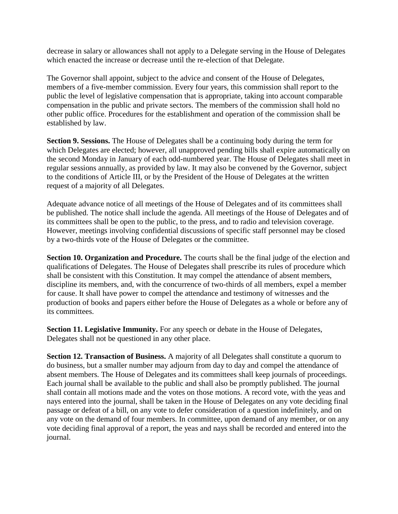decrease in salary or allowances shall not apply to a Delegate serving in the House of Delegates which enacted the increase or decrease until the re-election of that Delegate.

The Governor shall appoint, subject to the advice and consent of the House of Delegates, members of a five-member commission. Every four years, this commission shall report to the public the level of legislative compensation that is appropriate, taking into account comparable compensation in the public and private sectors. The members of the commission shall hold no other public office. Procedures for the establishment and operation of the commission shall be established by law.

**Section 9. Sessions.** The House of Delegates shall be a continuing body during the term for which Delegates are elected; however, all unapproved pending bills shall expire automatically on the second Monday in January of each odd-numbered year. The House of Delegates shall meet in regular sessions annually, as provided by law. It may also be convened by the Governor, subject to the conditions of Article III, or by the President of the House of Delegates at the written request of a majority of all Delegates.

Adequate advance notice of all meetings of the House of Delegates and of its committees shall be published. The notice shall include the agenda. All meetings of the House of Delegates and of its committees shall be open to the public, to the press, and to radio and television coverage. However, meetings involving confidential discussions of specific staff personnel may be closed by a two-thirds vote of the House of Delegates or the committee.

**Section 10. Organization and Procedure.** The courts shall be the final judge of the election and qualifications of Delegates. The House of Delegates shall prescribe its rules of procedure which shall be consistent with this Constitution. It may compel the attendance of absent members, discipline its members, and, with the concurrence of two-thirds of all members, expel a member for cause. It shall have power to compel the attendance and testimony of witnesses and the production of books and papers either before the House of Delegates as a whole or before any of its committees.

**Section 11. Legislative Immunity.** For any speech or debate in the House of Delegates, Delegates shall not be questioned in any other place.

**Section 12. Transaction of Business.** A majority of all Delegates shall constitute a quorum to do business, but a smaller number may adjourn from day to day and compel the attendance of absent members. The House of Delegates and its committees shall keep journals of proceedings. Each journal shall be available to the public and shall also be promptly published. The journal shall contain all motions made and the votes on those motions. A record vote, with the yeas and nays entered into the journal, shall be taken in the House of Delegates on any vote deciding final passage or defeat of a bill, on any vote to defer consideration of a question indefinitely, and on any vote on the demand of four members. In committee, upon demand of any member, or on any vote deciding final approval of a report, the yeas and nays shall be recorded and entered into the journal.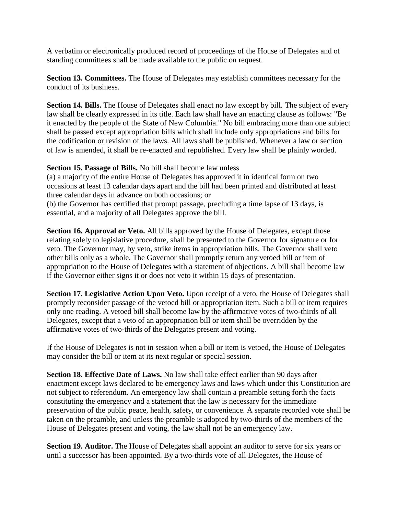A verbatim or electronically produced record of proceedings of the House of Delegates and of standing committees shall be made available to the public on request.

**Section 13. Committees.** The House of Delegates may establish committees necessary for the conduct of its business.

**Section 14. Bills.** The House of Delegates shall enact no law except by bill. The subject of every law shall be clearly expressed in its title. Each law shall have an enacting clause as follows: "Be it enacted by the people of the State of New Columbia." No bill embracing more than one subject shall be passed except appropriation bills which shall include only appropriations and bills for the codification or revision of the laws. All laws shall be published. Whenever a law or section of law is amended, it shall be re-enacted and republished. Every law shall be plainly worded.

## **Section 15. Passage of Bills.** No bill shall become law unless

(a) a majority of the entire House of Delegates has approved it in identical form on two occasions at least 13 calendar days apart and the bill had been printed and distributed at least three calendar days in advance on both occasions; or

(b) the Governor has certified that prompt passage, precluding a time lapse of 13 days, is essential, and a majority of all Delegates approve the bill.

**Section 16. Approval or Veto.** All bills approved by the House of Delegates, except those relating solely to legislative procedure, shall be presented to the Governor for signature or for veto. The Governor may, by veto, strike items in appropriation bills. The Governor shall veto other bills only as a whole. The Governor shall promptly return any vetoed bill or item of appropriation to the House of Delegates with a statement of objections. A bill shall become law if the Governor either signs it or does not veto it within 15 days of presentation.

**Section 17. Legislative Action Upon Veto.** Upon receipt of a veto, the House of Delegates shall promptly reconsider passage of the vetoed bill or appropriation item. Such a bill or item requires only one reading. A vetoed bill shall become law by the affirmative votes of two-thirds of all Delegates, except that a veto of an appropriation bill or item shall be overridden by the affirmative votes of two-thirds of the Delegates present and voting.

If the House of Delegates is not in session when a bill or item is vetoed, the House of Delegates may consider the bill or item at its next regular or special session.

**Section 18. Effective Date of Laws.** No law shall take effect earlier than 90 days after enactment except laws declared to be emergency laws and laws which under this Constitution are not subject to referendum. An emergency law shall contain a preamble setting forth the facts constituting the emergency and a statement that the law is necessary for the immediate preservation of the public peace, health, safety, or convenience. A separate recorded vote shall be taken on the preamble, and unless the preamble is adopted by two-thirds of the members of the House of Delegates present and voting, the law shall not be an emergency law.

**Section 19. Auditor.** The House of Delegates shall appoint an auditor to serve for six years or until a successor has been appointed. By a two-thirds vote of all Delegates, the House of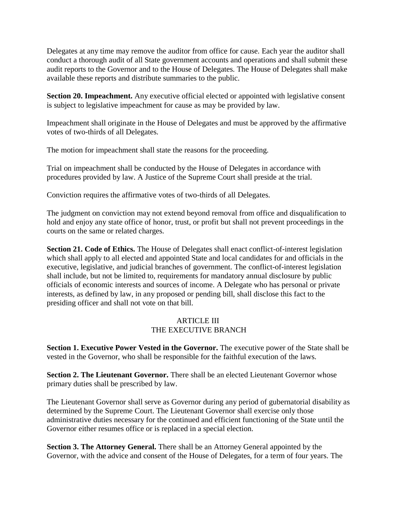Delegates at any time may remove the auditor from office for cause. Each year the auditor shall conduct a thorough audit of all State government accounts and operations and shall submit these audit reports to the Governor and to the House of Delegates. The House of Delegates shall make available these reports and distribute summaries to the public.

**Section 20. Impeachment.** Any executive official elected or appointed with legislative consent is subject to legislative impeachment for cause as may be provided by law.

Impeachment shall originate in the House of Delegates and must be approved by the affirmative votes of two-thirds of all Delegates.

The motion for impeachment shall state the reasons for the proceeding.

Trial on impeachment shall be conducted by the House of Delegates in accordance with procedures provided by law. A Justice of the Supreme Court shall preside at the trial.

Conviction requires the affirmative votes of two-thirds of all Delegates.

The judgment on conviction may not extend beyond removal from office and disqualification to hold and enjoy any state office of honor, trust, or profit but shall not prevent proceedings in the courts on the same or related charges.

**Section 21. Code of Ethics.** The House of Delegates shall enact conflict-of-interest legislation which shall apply to all elected and appointed State and local candidates for and officials in the executive, legislative, and judicial branches of government. The conflict-of-interest legislation shall include, but not be limited to, requirements for mandatory annual disclosure by public officials of economic interests and sources of income. A Delegate who has personal or private interests, as defined by law, in any proposed or pending bill, shall disclose this fact to the presiding officer and shall not vote on that bill.

## ARTICLE III THE EXECUTIVE BRANCH

**Section 1. Executive Power Vested in the Governor.** The executive power of the State shall be vested in the Governor, who shall be responsible for the faithful execution of the laws.

**Section 2. The Lieutenant Governor.** There shall be an elected Lieutenant Governor whose primary duties shall be prescribed by law.

The Lieutenant Governor shall serve as Governor during any period of gubernatorial disability as determined by the Supreme Court. The Lieutenant Governor shall exercise only those administrative duties necessary for the continued and efficient functioning of the State until the Governor either resumes office or is replaced in a special election.

**Section 3. The Attorney General.** There shall be an Attorney General appointed by the Governor, with the advice and consent of the House of Delegates, for a term of four years. The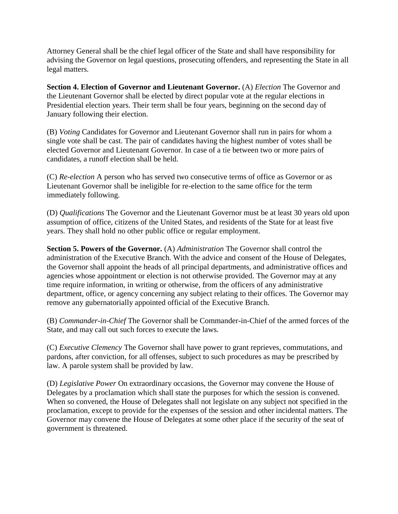Attorney General shall be the chief legal officer of the State and shall have responsibility for advising the Governor on legal questions, prosecuting offenders, and representing the State in all legal matters.

**Section 4. Election of Governor and Lieutenant Governor.** (A) *Election* The Governor and the Lieutenant Governor shall be elected by direct popular vote at the regular elections in Presidential election years. Their term shall be four years, beginning on the second day of January following their election.

(B) *Voting* Candidates for Governor and Lieutenant Governor shall run in pairs for whom a single vote shall be cast. The pair of candidates having the highest number of votes shall be elected Governor and Lieutenant Governor. In case of a tie between two or more pairs of candidates, a runoff election shall be held.

(C) *Re-election* A person who has served two consecutive terms of office as Governor or as Lieutenant Governor shall be ineligible for re-election to the same office for the term immediately following.

(D) *Qualifications* The Governor and the Lieutenant Governor must be at least 30 years old upon assumption of office, citizens of the United States, and residents of the State for at least five years. They shall hold no other public office or regular employment.

**Section 5. Powers of the Governor.** (A) *Administration* The Governor shall control the administration of the Executive Branch. With the advice and consent of the House of Delegates, the Governor shall appoint the heads of all principal departments, and administrative offices and agencies whose appointment or election is not otherwise provided. The Governor may at any time require information, in writing or otherwise, from the officers of any administrative department, office, or agency concerning any subject relating to their offices. The Governor may remove any gubernatorially appointed official of the Executive Branch.

(B) *Commander-in-Chief* The Governor shall be Commander-in-Chief of the armed forces of the State, and may call out such forces to execute the laws.

(C) *Executive Clemency* The Governor shall have power to grant reprieves, commutations, and pardons, after conviction, for all offenses, subject to such procedures as may be prescribed by law. A parole system shall be provided by law.

(D) *Legislative Power* On extraordinary occasions, the Governor may convene the House of Delegates by a proclamation which shall state the purposes for which the session is convened. When so convened, the House of Delegates shall not legislate on any subject not specified in the proclamation, except to provide for the expenses of the session and other incidental matters. The Governor may convene the House of Delegates at some other place if the security of the seat of government is threatened.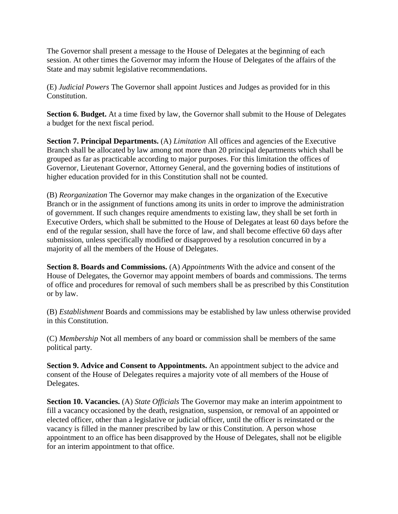The Governor shall present a message to the House of Delegates at the beginning of each session. At other times the Governor may inform the House of Delegates of the affairs of the State and may submit legislative recommendations.

(E) *Judicial Powers* The Governor shall appoint Justices and Judges as provided for in this Constitution.

Section 6. Budget. At a time fixed by law, the Governor shall submit to the House of Delegates a budget for the next fiscal period.

**Section 7. Principal Departments.** (A) *Limitation* All offices and agencies of the Executive Branch shall be allocated by law among not more than 20 principal departments which shall be grouped as far as practicable according to major purposes. For this limitation the offices of Governor, Lieutenant Governor, Attorney General, and the governing bodies of institutions of higher education provided for in this Constitution shall not be counted.

(B) *Reorganization* The Governor may make changes in the organization of the Executive Branch or in the assignment of functions among its units in order to improve the administration of government. If such changes require amendments to existing law, they shall be set forth in Executive Orders, which shall be submitted to the House of Delegates at least 60 days before the end of the regular session, shall have the force of law, and shall become effective 60 days after submission, unless specifically modified or disapproved by a resolution concurred in by a majority of all the members of the House of Delegates.

**Section 8. Boards and Commissions.** (A) *Appointments* With the advice and consent of the House of Delegates, the Governor may appoint members of boards and commissions. The terms of office and procedures for removal of such members shall be as prescribed by this Constitution or by law.

(B) *Establishment* Boards and commissions may be established by law unless otherwise provided in this Constitution.

(C) *Membership* Not all members of any board or commission shall be members of the same political party.

**Section 9. Advice and Consent to Appointments.** An appointment subject to the advice and consent of the House of Delegates requires a majority vote of all members of the House of Delegates.

**Section 10. Vacancies.** (A) *State Officials* The Governor may make an interim appointment to fill a vacancy occasioned by the death, resignation, suspension, or removal of an appointed or elected officer, other than a legislative or judicial officer, until the officer is reinstated or the vacancy is filled in the manner prescribed by law or this Constitution. A person whose appointment to an office has been disapproved by the House of Delegates, shall not be eligible for an interim appointment to that office.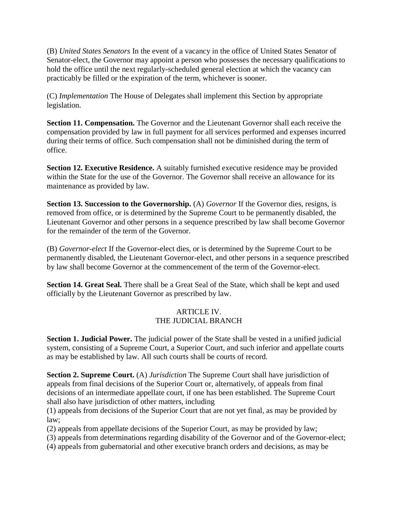(B) *United States Senators* In the event of a vacancy in the office of United States Senator of Senator-elect, the Governor may appoint a person who possesses the necessary qualifications to hold the office until the next regularly-scheduled general election at which the vacancy can practicably be filled or the expiration of the term, whichever is sooner.

(C) *Implementation* The House of Delegates shall implement this Section by appropriate legislation.

**Section 11. Compensation.** The Governor and the Lieutenant Governor shall each receive the compensation provided by law in full payment for all services performed and expenses incurred during their terms of office. Such compensation shall not be diminished during the term of office.

**Section 12. Executive Residence.** A suitably furnished executive residence may be provided within the State for the use of the Governor. The Governor shall receive an allowance for its maintenance as provided by law.

**Section 13. Succession to the Governorship.** (A) *Governor* If the Governor dies, resigns, is removed from office, or is determined by the Supreme Court to be permanently disabled, the Lieutenant Governor and other persons in a sequence prescribed by law shall become Governor for the remainder of the term of the Governor.

(B) *Governor-elect* If the Governor-elect dies, or is determined by the Supreme Court to be permanently disabled, the Lieutenant Governor-elect, and other persons in a sequence prescribed by law shall become Governor at the commencement of the term of the Governor-elect.

**Section 14. Great Seal.** There shall be a Great Seal of the State, which shall be kept and used officially by the Lieutenant Governor as prescribed by law.

### ARTICLE IV. THE JUDICIAL BRANCH

**Section 1. Judicial Power.** The judicial power of the State shall be vested in a unified judicial system, consisting of a Supreme Court, a Superior Court, and such inferior and appellate courts as may be established by law. All such courts shall be courts of record.

**Section 2. Supreme Court.** (A) *Jurisdiction* The Supreme Court shall have jurisdiction of appeals from final decisions of the Superior Court or, alternatively, of appeals from final decisions of an intermediate appellate court, if one has been established. The Supreme Court shall also have jurisdiction of other matters, including

(1) appeals from decisions of the Superior Court that are not yet final, as may be provided by law;

(2) appeals from appellate decisions of the Superior Court, as may be provided by law;

(3) appeals from determinations regarding disability of the Governor and of the Governor-elect;

(4) appeals from gubernatorial and other executive branch orders and decisions, as may be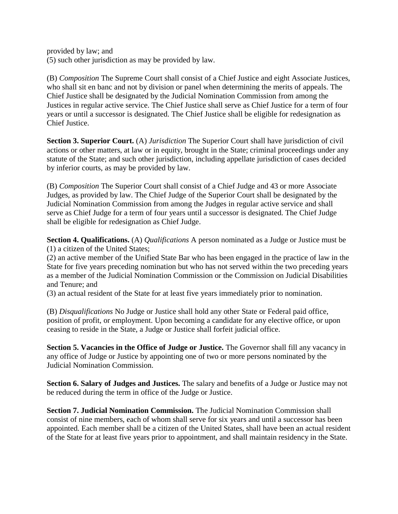provided by law; and (5) such other jurisdiction as may be provided by law.

(B) *Composition* The Supreme Court shall consist of a Chief Justice and eight Associate Justices, who shall sit en banc and not by division or panel when determining the merits of appeals. The Chief Justice shall be designated by the Judicial Nomination Commission from among the Justices in regular active service. The Chief Justice shall serve as Chief Justice for a term of four years or until a successor is designated. The Chief Justice shall be eligible for redesignation as Chief Justice.

**Section 3. Superior Court.** (A) *Jurisdiction* The Superior Court shall have jurisdiction of civil actions or other matters, at law or in equity, brought in the State; criminal proceedings under any statute of the State; and such other jurisdiction, including appellate jurisdiction of cases decided by inferior courts, as may be provided by law.

(B) *Composition* The Superior Court shall consist of a Chief Judge and 43 or more Associate Judges, as provided by law. The Chief Judge of the Superior Court shall be designated by the Judicial Nomination Commission from among the Judges in regular active service and shall serve as Chief Judge for a term of four years until a successor is designated. The Chief Judge shall be eligible for redesignation as Chief Judge.

**Section 4. Qualifications.** (A) *Qualifications* A person nominated as a Judge or Justice must be (1) a citizen of the United States;

(2) an active member of the Unified State Bar who has been engaged in the practice of law in the State for five years preceding nomination but who has not served within the two preceding years as a member of the Judicial Nomination Commission or the Commission on Judicial Disabilities and Tenure; and

(3) an actual resident of the State for at least five years immediately prior to nomination.

(B) *Disqualifications* No Judge or Justice shall hold any other State or Federal paid office, position of profit, or employment. Upon becoming a candidate for any elective office, or upon ceasing to reside in the State, a Judge or Justice shall forfeit judicial office.

**Section 5. Vacancies in the Office of Judge or Justice.** The Governor shall fill any vacancy in any office of Judge or Justice by appointing one of two or more persons nominated by the Judicial Nomination Commission.

**Section 6. Salary of Judges and Justices.** The salary and benefits of a Judge or Justice may not be reduced during the term in office of the Judge or Justice.

**Section 7. Judicial Nomination Commission.** The Judicial Nomination Commission shall consist of nine members, each of whom shall serve for six years and until a successor has been appointed. Each member shall be a citizen of the United States, shall have been an actual resident of the State for at least five years prior to appointment, and shall maintain residency in the State.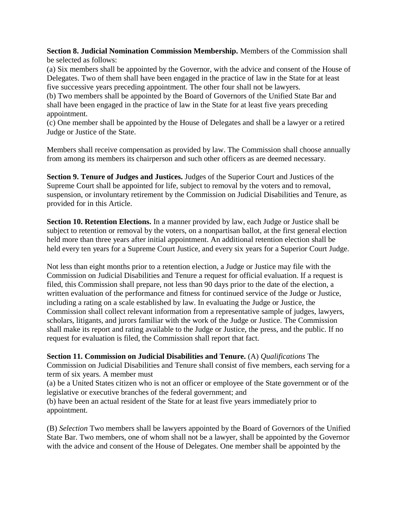**Section 8. Judicial Nomination Commission Membership.** Members of the Commission shall be selected as follows:

(a) Six members shall be appointed by the Governor, with the advice and consent of the House of Delegates. Two of them shall have been engaged in the practice of law in the State for at least five successive years preceding appointment. The other four shall not be lawyers.

(b) Two members shall be appointed by the Board of Governors of the Unified State Bar and shall have been engaged in the practice of law in the State for at least five years preceding appointment.

(c) One member shall be appointed by the House of Delegates and shall be a lawyer or a retired Judge or Justice of the State.

Members shall receive compensation as provided by law. The Commission shall choose annually from among its members its chairperson and such other officers as are deemed necessary.

**Section 9. Tenure of Judges and Justices.** Judges of the Superior Court and Justices of the Supreme Court shall be appointed for life, subject to removal by the voters and to removal, suspension, or involuntary retirement by the Commission on Judicial Disabilities and Tenure, as provided for in this Article.

**Section 10. Retention Elections.** In a manner provided by law, each Judge or Justice shall be subject to retention or removal by the voters, on a nonpartisan ballot, at the first general election held more than three years after initial appointment. An additional retention election shall be held every ten years for a Supreme Court Justice, and every six years for a Superior Court Judge.

Not less than eight months prior to a retention election, a Judge or Justice may file with the Commission on Judicial Disabilities and Tenure a request for official evaluation. If a request is filed, this Commission shall prepare, not less than 90 days prior to the date of the election, a written evaluation of the performance and fitness for continued service of the Judge or Justice, including a rating on a scale established by law. In evaluating the Judge or Justice, the Commission shall collect relevant information from a representative sample of judges, lawyers, scholars, litigants, and jurors familiar with the work of the Judge or Justice. The Commission shall make its report and rating available to the Judge or Justice, the press, and the public. If no request for evaluation is filed, the Commission shall report that fact.

**Section 11. Commission on Judicial Disabilities and Tenure.** (A) *Qualifications* The Commission on Judicial Disabilities and Tenure shall consist of five members, each serving for a term of six years. A member must

(a) be a United States citizen who is not an officer or employee of the State government or of the legislative or executive branches of the federal government; and

(b) have been an actual resident of the State for at least five years immediately prior to appointment.

(B) *Selection* Two members shall be lawyers appointed by the Board of Governors of the Unified State Bar. Two members, one of whom shall not be a lawyer, shall be appointed by the Governor with the advice and consent of the House of Delegates. One member shall be appointed by the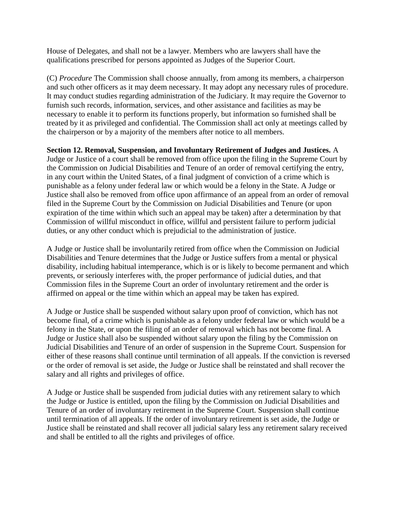House of Delegates, and shall not be a lawyer. Members who are lawyers shall have the qualifications prescribed for persons appointed as Judges of the Superior Court.

(C) *Procedure* The Commission shall choose annually, from among its members, a chairperson and such other officers as it may deem necessary. It may adopt any necessary rules of procedure. It may conduct studies regarding administration of the Judiciary. It may require the Governor to furnish such records, information, services, and other assistance and facilities as may be necessary to enable it to perform its functions properly, but information so furnished shall be treated by it as privileged and confidential. The Commission shall act only at meetings called by the chairperson or by a majority of the members after notice to all members.

**Section 12. Removal, Suspension, and Involuntary Retirement of Judges and Justices.** A Judge or Justice of a court shall be removed from office upon the filing in the Supreme Court by the Commission on Judicial Disabilities and Tenure of an order of removal certifying the entry, in any court within the United States, of a final judgment of conviction of a crime which is punishable as a felony under federal law or which would be a felony in the State. A Judge or Justice shall also be removed from office upon affirmance of an appeal from an order of removal filed in the Supreme Court by the Commission on Judicial Disabilities and Tenure (or upon expiration of the time within which such an appeal may be taken) after a determination by that Commission of willful misconduct in office, willful and persistent failure to perform judicial duties, or any other conduct which is prejudicial to the administration of justice.

A Judge or Justice shall be involuntarily retired from office when the Commission on Judicial Disabilities and Tenure determines that the Judge or Justice suffers from a mental or physical disability, including habitual intemperance, which is or is likely to become permanent and which prevents, or seriously interferes with, the proper performance of judicial duties, and that Commission files in the Supreme Court an order of involuntary retirement and the order is affirmed on appeal or the time within which an appeal may be taken has expired.

A Judge or Justice shall be suspended without salary upon proof of conviction, which has not become final, of a crime which is punishable as a felony under federal law or which would be a felony in the State, or upon the filing of an order of removal which has not become final. A Judge or Justice shall also be suspended without salary upon the filing by the Commission on Judicial Disabilities and Tenure of an order of suspension in the Supreme Court. Suspension for either of these reasons shall continue until termination of all appeals. If the conviction is reversed or the order of removal is set aside, the Judge or Justice shall be reinstated and shall recover the salary and all rights and privileges of office.

A Judge or Justice shall be suspended from judicial duties with any retirement salary to which the Judge or Justice is entitled, upon the filing by the Commission on Judicial Disabilities and Tenure of an order of involuntary retirement in the Supreme Court. Suspension shall continue until termination of all appeals. If the order of involuntary retirement is set aside, the Judge or Justice shall be reinstated and shall recover all judicial salary less any retirement salary received and shall be entitled to all the rights and privileges of office.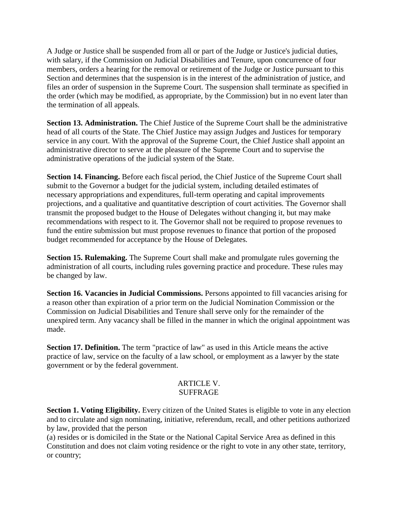A Judge or Justice shall be suspended from all or part of the Judge or Justice's judicial duties, with salary, if the Commission on Judicial Disabilities and Tenure, upon concurrence of four members, orders a hearing for the removal or retirement of the Judge or Justice pursuant to this Section and determines that the suspension is in the interest of the administration of justice, and files an order of suspension in the Supreme Court. The suspension shall terminate as specified in the order (which may be modified, as appropriate, by the Commission) but in no event later than the termination of all appeals.

**Section 13. Administration.** The Chief Justice of the Supreme Court shall be the administrative head of all courts of the State. The Chief Justice may assign Judges and Justices for temporary service in any court. With the approval of the Supreme Court, the Chief Justice shall appoint an administrative director to serve at the pleasure of the Supreme Court and to supervise the administrative operations of the judicial system of the State.

**Section 14. Financing.** Before each fiscal period, the Chief Justice of the Supreme Court shall submit to the Governor a budget for the judicial system, including detailed estimates of necessary appropriations and expenditures, full-term operating and capital improvements projections, and a qualitative and quantitative description of court activities. The Governor shall transmit the proposed budget to the House of Delegates without changing it, but may make recommendations with respect to it. The Governor shall not be required to propose revenues to fund the entire submission but must propose revenues to finance that portion of the proposed budget recommended for acceptance by the House of Delegates.

**Section 15. Rulemaking.** The Supreme Court shall make and promulgate rules governing the administration of all courts, including rules governing practice and procedure. These rules may be changed by law.

**Section 16. Vacancies in Judicial Commissions.** Persons appointed to fill vacancies arising for a reason other than expiration of a prior term on the Judicial Nomination Commission or the Commission on Judicial Disabilities and Tenure shall serve only for the remainder of the unexpired term. Any vacancy shall be filled in the manner in which the original appointment was made.

**Section 17. Definition.** The term "practice of law" as used in this Article means the active practice of law, service on the faculty of a law school, or employment as a lawyer by the state government or by the federal government.

#### ARTICLE V. SUFFRAGE

**Section 1. Voting Eligibility.** Every citizen of the United States is eligible to vote in any election and to circulate and sign nominating, initiative, referendum, recall, and other petitions authorized by law, provided that the person

(a) resides or is domiciled in the State or the National Capital Service Area as defined in this Constitution and does not claim voting residence or the right to vote in any other state, territory, or country;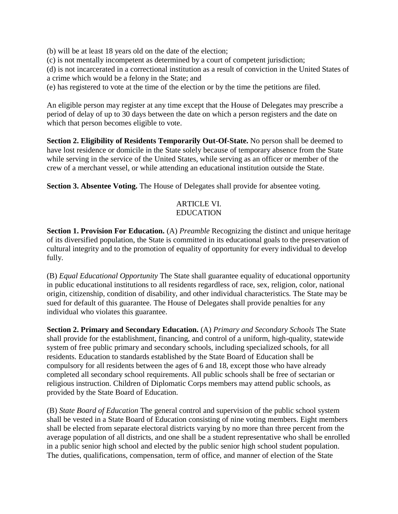(b) will be at least 18 years old on the date of the election;

(c) is not mentally incompetent as determined by a court of competent jurisdiction;

(d) is not incarcerated in a correctional institution as a result of conviction in the United States of a crime which would be a felony in the State; and

(e) has registered to vote at the time of the election or by the time the petitions are filed.

An eligible person may register at any time except that the House of Delegates may prescribe a period of delay of up to 30 days between the date on which a person registers and the date on which that person becomes eligible to vote.

**Section 2. Eligibility of Residents Temporarily Out-Of-State.** No person shall be deemed to have lost residence or domicile in the State solely because of temporary absence from the State while serving in the service of the United States, while serving as an officer or member of the crew of a merchant vessel, or while attending an educational institution outside the State.

**Section 3. Absentee Voting.** The House of Delegates shall provide for absentee voting.

## ARTICLE VI. EDUCATION

**Section 1. Provision For Education.** (A) *Preamble* Recognizing the distinct and unique heritage of its diversified population, the State is committed in its educational goals to the preservation of cultural integrity and to the promotion of equality of opportunity for every individual to develop fully.

(B) *Equal Educational Opportunity* The State shall guarantee equality of educational opportunity in public educational institutions to all residents regardless of race, sex, religion, color, national origin, citizenship, condition of disability, and other individual characteristics. The State may be sued for default of this guarantee. The House of Delegates shall provide penalties for any individual who violates this guarantee.

**Section 2. Primary and Secondary Education.** (A) *Primary and Secondary Schools* The State shall provide for the establishment, financing, and control of a uniform, high-quality, statewide system of free public primary and secondary schools, including specialized schools, for all residents. Education to standards established by the State Board of Education shall be compulsory for all residents between the ages of 6 and 18, except those who have already completed all secondary school requirements. All public schools shall be free of sectarian or religious instruction. Children of Diplomatic Corps members may attend public schools, as provided by the State Board of Education.

(B) *State Board of Education* The general control and supervision of the public school system shall be vested in a State Board of Education consisting of nine voting members. Eight members shall be elected from separate electoral districts varying by no more than three percent from the average population of all districts, and one shall be a student representative who shall be enrolled in a public senior high school and elected by the public senior high school student population. The duties, qualifications, compensation, term of office, and manner of election of the State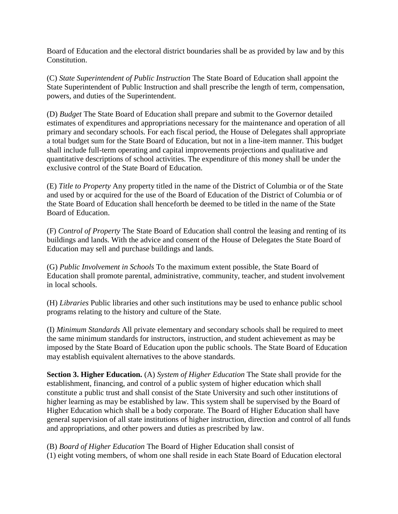Board of Education and the electoral district boundaries shall be as provided by law and by this Constitution.

(C) *State Superintendent of Public Instruction* The State Board of Education shall appoint the State Superintendent of Public Instruction and shall prescribe the length of term, compensation, powers, and duties of the Superintendent.

(D) *Budget* The State Board of Education shall prepare and submit to the Governor detailed estimates of expenditures and appropriations necessary for the maintenance and operation of all primary and secondary schools. For each fiscal period, the House of Delegates shall appropriate a total budget sum for the State Board of Education, but not in a line-item manner. This budget shall include full-term operating and capital improvements projections and qualitative and quantitative descriptions of school activities. The expenditure of this money shall be under the exclusive control of the State Board of Education.

(E) *Title to Property* Any property titled in the name of the District of Columbia or of the State and used by or acquired for the use of the Board of Education of the District of Columbia or of the State Board of Education shall henceforth be deemed to be titled in the name of the State Board of Education.

(F) *Control of Property* The State Board of Education shall control the leasing and renting of its buildings and lands. With the advice and consent of the House of Delegates the State Board of Education may sell and purchase buildings and lands.

(G) *Public Involvement in Schools* To the maximum extent possible, the State Board of Education shall promote parental, administrative, community, teacher, and student involvement in local schools.

(H) *Libraries* Public libraries and other such institutions may be used to enhance public school programs relating to the history and culture of the State.

(I) *Minimum Standards* All private elementary and secondary schools shall be required to meet the same minimum standards for instructors, instruction, and student achievement as may be imposed by the State Board of Education upon the public schools. The State Board of Education may establish equivalent alternatives to the above standards.

**Section 3. Higher Education.** (A) *System of Higher Education* The State shall provide for the establishment, financing, and control of a public system of higher education which shall constitute a public trust and shall consist of the State University and such other institutions of higher learning as may be established by law. This system shall be supervised by the Board of Higher Education which shall be a body corporate. The Board of Higher Education shall have general supervision of all state institutions of higher instruction, direction and control of all funds and appropriations, and other powers and duties as prescribed by law.

(B) *Board of Higher Education* The Board of Higher Education shall consist of (1) eight voting members, of whom one shall reside in each State Board of Education electoral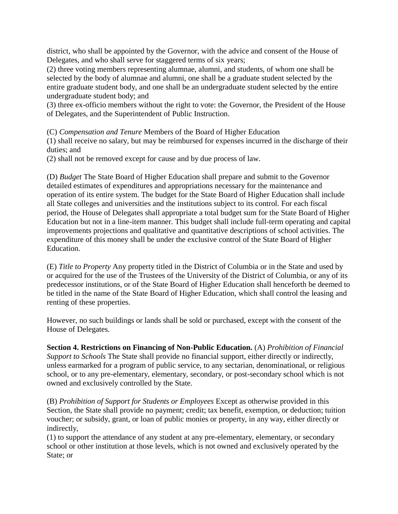district, who shall be appointed by the Governor, with the advice and consent of the House of Delegates, and who shall serve for staggered terms of six years;

(2) three voting members representing alumnae, alumni, and students, of whom one shall be selected by the body of alumnae and alumni, one shall be a graduate student selected by the entire graduate student body, and one shall be an undergraduate student selected by the entire undergraduate student body; and

(3) three ex-officio members without the right to vote: the Governor, the President of the House of Delegates, and the Superintendent of Public Instruction.

(C) *Compensation and Tenure* Members of the Board of Higher Education

(1) shall receive no salary, but may be reimbursed for expenses incurred in the discharge of their duties; and

(2) shall not be removed except for cause and by due process of law.

(D) *Budget* The State Board of Higher Education shall prepare and submit to the Governor detailed estimates of expenditures and appropriations necessary for the maintenance and operation of its entire system. The budget for the State Board of Higher Education shall include all State colleges and universities and the institutions subject to its control. For each fiscal period, the House of Delegates shall appropriate a total budget sum for the State Board of Higher Education but not in a line-item manner. This budget shall include full-term operating and capital improvements projections and qualitative and quantitative descriptions of school activities. The expenditure of this money shall be under the exclusive control of the State Board of Higher Education.

(E) *Title to Property* Any property titled in the District of Columbia or in the State and used by or acquired for the use of the Trustees of the University of the District of Columbia, or any of its predecessor institutions, or of the State Board of Higher Education shall henceforth be deemed to be titled in the name of the State Board of Higher Education, which shall control the leasing and renting of these properties.

However, no such buildings or lands shall be sold or purchased, except with the consent of the House of Delegates.

**Section 4. Restrictions on Financing of Non-Public Education.** (A) *Prohibition of Financial Support to Schools* The State shall provide no financial support, either directly or indirectly, unless earmarked for a program of public service, to any sectarian, denominational, or religious school, or to any pre-elementary, elementary, secondary, or post-secondary school which is not owned and exclusively controlled by the State.

(B) *Prohibition of Support for Students or Employees* Except as otherwise provided in this Section, the State shall provide no payment; credit; tax benefit, exemption, or deduction; tuition voucher; or subsidy, grant, or loan of public monies or property, in any way, either directly or indirectly,

(1) to support the attendance of any student at any pre-elementary, elementary, or secondary school or other institution at those levels, which is not owned and exclusively operated by the State; or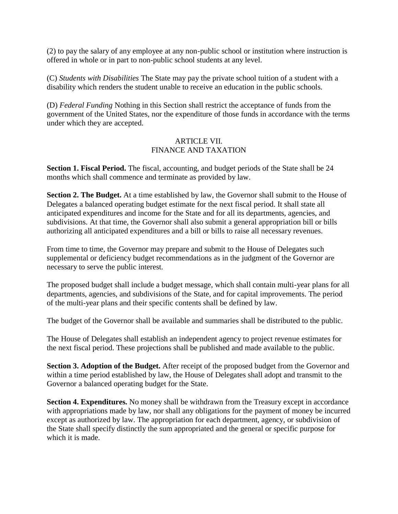(2) to pay the salary of any employee at any non-public school or institution where instruction is offered in whole or in part to non-public school students at any level.

(C) *Students with Disabilities* The State may pay the private school tuition of a student with a disability which renders the student unable to receive an education in the public schools.

(D) *Federal Funding* Nothing in this Section shall restrict the acceptance of funds from the government of the United States, nor the expenditure of those funds in accordance with the terms under which they are accepted.

### ARTICLE VII. FINANCE AND TAXATION

**Section 1. Fiscal Period.** The fiscal, accounting, and budget periods of the State shall be 24 months which shall commence and terminate as provided by law.

**Section 2. The Budget.** At a time established by law, the Governor shall submit to the House of Delegates a balanced operating budget estimate for the next fiscal period. It shall state all anticipated expenditures and income for the State and for all its departments, agencies, and subdivisions. At that time, the Governor shall also submit a general appropriation bill or bills authorizing all anticipated expenditures and a bill or bills to raise all necessary revenues.

From time to time, the Governor may prepare and submit to the House of Delegates such supplemental or deficiency budget recommendations as in the judgment of the Governor are necessary to serve the public interest.

The proposed budget shall include a budget message, which shall contain multi-year plans for all departments, agencies, and subdivisions of the State, and for capital improvements. The period of the multi-year plans and their specific contents shall be defined by law.

The budget of the Governor shall be available and summaries shall be distributed to the public.

The House of Delegates shall establish an independent agency to project revenue estimates for the next fiscal period. These projections shall be published and made available to the public.

**Section 3. Adoption of the Budget.** After receipt of the proposed budget from the Governor and within a time period established by law, the House of Delegates shall adopt and transmit to the Governor a balanced operating budget for the State.

**Section 4. Expenditures.** No money shall be withdrawn from the Treasury except in accordance with appropriations made by law, nor shall any obligations for the payment of money be incurred except as authorized by law. The appropriation for each department, agency, or subdivision of the State shall specify distinctly the sum appropriated and the general or specific purpose for which it is made.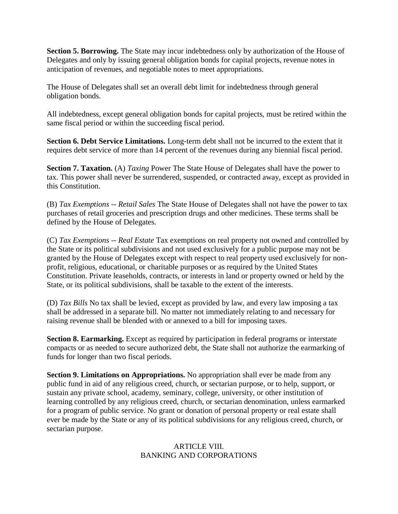**Section 5. Borrowing.** The State may incur indebtedness only by authorization of the House of Delegates and only by issuing general obligation bonds for capital projects, revenue notes in anticipation of revenues, and negotiable notes to meet appropriations.

The House of Delegates shall set an overall debt limit for indebtedness through general obligation bonds.

All indebtedness, except general obligation bonds for capital projects, must be retired within the same fiscal period or within the succeeding fiscal period.

**Section 6. Debt Service Limitations.** Long-term debt shall not be incurred to the extent that it requires debt service of more than 14 percent of the revenues during any biennial fiscal period.

**Section 7. Taxation.** (A) *Taxing* Power The State House of Delegates shall have the power to tax. This power shall never be surrendered, suspended, or contracted away, except as provided in this Constitution.

(B) *Tax Exemptions -- Retail Sales* The State House of Delegates shall not have the power to tax purchases of retail groceries and prescription drugs and other medicines. These terms shall be defined by the House of Delegates.

(C) *Tax Exemptions -- Real Estate* Tax exemptions on real property not owned and controlled by the State or its political subdivisions and not used exclusively for a public purpose may not be granted by the House of Delegates except with respect to real property used exclusively for nonprofit, religious, educational, or charitable purposes or as required by the United States Constitution. Private leaseholds, contracts, or interests in land or property owned or held by the State, or its political subdivisions, shall be taxable to the extent of the interests.

(D) *Tax Bills* No tax shall be levied, except as provided by law, and every law imposing a tax shall be addressed in a separate bill. No matter not immediately relating to and necessary for raising revenue shall be blended with or annexed to a bill for imposing taxes.

**Section 8. Earmarking.** Except as required by participation in federal programs or interstate compacts or as needed to secure authorized debt, the State shall not authorize the earmarking of funds for longer than two fiscal periods.

**Section 9. Limitations on Appropriations.** No appropriation shall ever be made from any public fund in aid of any religious creed, church, or sectarian purpose, or to help, support, or sustain any private school, academy, seminary, college, university, or other institution of learning controlled by any religious creed, church, or sectarian denomination, unless earmarked for a program of public service. No grant or donation of personal property or real estate shall ever be made by the State or any of its political subdivisions for any religious creed, church, or sectarian purpose.

## ARTICLE VIII. BANKING AND CORPORATIONS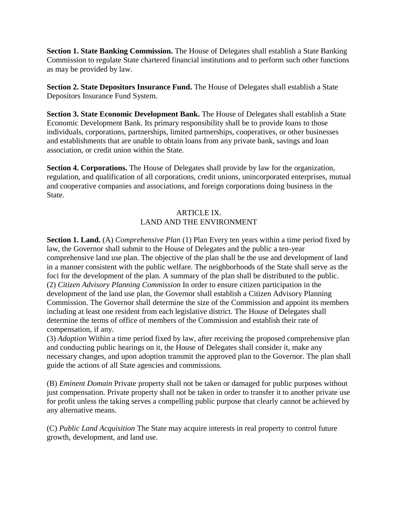**Section 1. State Banking Commission.** The House of Delegates shall establish a State Banking Commission to regulate State chartered financial institutions and to perform such other functions as may be provided by law.

**Section 2. State Depositors Insurance Fund.** The House of Delegates shall establish a State Depositors Insurance Fund System.

**Section 3. State Economic Development Bank.** The House of Delegates shall establish a State Economic Development Bank. Its primary responsibility shall be to provide loans to those individuals, corporations, partnerships, limited partnerships, cooperatives, or other businesses and establishments that are unable to obtain loans from any private bank, savings and loan association, or credit union within the State.

**Section 4. Corporations.** The House of Delegates shall provide by law for the organization, regulation, and qualification of all corporations, credit unions, unincorporated enterprises, mutual and cooperative companies and associations, and foreign corporations doing business in the State.

# ARTICLE IX. LAND AND THE ENVIRONMENT

**Section 1. Land.** (A) *Comprehensive Plan* (1) Plan Every ten years within a time period fixed by law, the Governor shall submit to the House of Delegates and the public a ten-year comprehensive land use plan. The objective of the plan shall be the use and development of land in a manner consistent with the public welfare. The neighborhoods of the State shall serve as the foci for the development of the plan. A summary of the plan shall be distributed to the public. (2) *Citizen Advisory Planning Commission* In order to ensure citizen participation in the development of the land use plan, the Governor shall establish a Citizen Advisory Planning Commission. The Governor shall determine the size of the Commission and appoint its members including at least one resident from each legislative district. The House of Delegates shall determine the terms of office of members of the Commission and establish their rate of compensation, if any.

(3) *Adoption* Within a time period fixed by law, after receiving the proposed comprehensive plan and conducting public hearings on it, the House of Delegates shall consider it, make any necessary changes, and upon adoption transmit the approved plan to the Governor. The plan shall guide the actions of all State agencies and commissions.

(B) *Eminent Domain* Private property shall not be taken or damaged for public purposes without just compensation. Private property shall not be taken in order to transfer it to another private use for profit unless the taking serves a compelling public purpose that clearly cannot be achieved by any alternative means.

(C) *Public Land Acquisition* The State may acquire interests in real property to control future growth, development, and land use.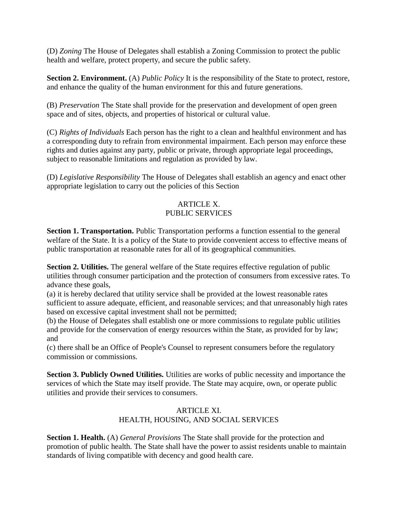(D) *Zoning* The House of Delegates shall establish a Zoning Commission to protect the public health and welfare, protect property, and secure the public safety.

**Section 2. Environment.** (A) *Public Policy* It is the responsibility of the State to protect, restore, and enhance the quality of the human environment for this and future generations.

(B) *Preservation* The State shall provide for the preservation and development of open green space and of sites, objects, and properties of historical or cultural value.

(C) *Rights of Individuals* Each person has the right to a clean and healthful environment and has a corresponding duty to refrain from environmental impairment. Each person may enforce these rights and duties against any party, public or private, through appropriate legal proceedings, subject to reasonable limitations and regulation as provided by law.

(D) *Legislative Responsibility* The House of Delegates shall establish an agency and enact other appropriate legislation to carry out the policies of this Section

## ARTICLE X. PUBLIC SERVICES

**Section 1. Transportation.** Public Transportation performs a function essential to the general welfare of the State. It is a policy of the State to provide convenient access to effective means of public transportation at reasonable rates for all of its geographical communities.

**Section 2. Utilities.** The general welfare of the State requires effective regulation of public utilities through consumer participation and the protection of consumers from excessive rates. To advance these goals,

(a) it is hereby declared that utility service shall be provided at the lowest reasonable rates sufficient to assure adequate, efficient, and reasonable services; and that unreasonably high rates based on excessive capital investment shall not be permitted;

(b) the House of Delegates shall establish one or more commissions to regulate public utilities and provide for the conservation of energy resources within the State, as provided for by law; and

(c) there shall be an Office of People's Counsel to represent consumers before the regulatory commission or commissions.

**Section 3. Publicly Owned Utilities.** Utilities are works of public necessity and importance the services of which the State may itself provide. The State may acquire, own, or operate public utilities and provide their services to consumers.

# ARTICLE XI. HEALTH, HOUSING, AND SOCIAL SERVICES

**Section 1. Health.** (A) *General Provisions* The State shall provide for the protection and promotion of public health. The State shall have the power to assist residents unable to maintain standards of living compatible with decency and good health care.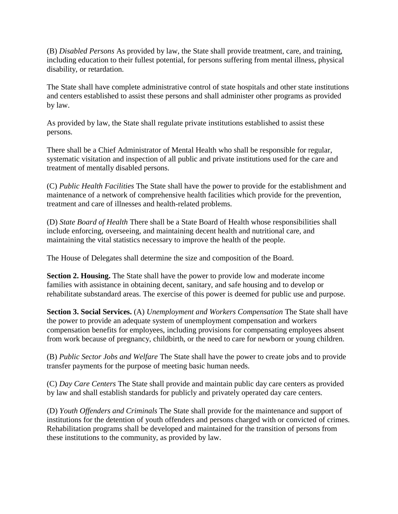(B) *Disabled Persons* As provided by law, the State shall provide treatment, care, and training, including education to their fullest potential, for persons suffering from mental illness, physical disability, or retardation.

The State shall have complete administrative control of state hospitals and other state institutions and centers established to assist these persons and shall administer other programs as provided by law.

As provided by law, the State shall regulate private institutions established to assist these persons.

There shall be a Chief Administrator of Mental Health who shall be responsible for regular, systematic visitation and inspection of all public and private institutions used for the care and treatment of mentally disabled persons.

(C) *Public Health Facilities* The State shall have the power to provide for the establishment and maintenance of a network of comprehensive health facilities which provide for the prevention, treatment and care of illnesses and health-related problems.

(D) *State Board of Health* There shall be a State Board of Health whose responsibilities shall include enforcing, overseeing, and maintaining decent health and nutritional care, and maintaining the vital statistics necessary to improve the health of the people.

The House of Delegates shall determine the size and composition of the Board.

**Section 2. Housing.** The State shall have the power to provide low and moderate income families with assistance in obtaining decent, sanitary, and safe housing and to develop or rehabilitate substandard areas. The exercise of this power is deemed for public use and purpose.

**Section 3. Social Services.** (A) *Unemployment and Workers Compensation* The State shall have the power to provide an adequate system of unemployment compensation and workers compensation benefits for employees, including provisions for compensating employees absent from work because of pregnancy, childbirth, or the need to care for newborn or young children.

(B) *Public Sector Jobs and Welfare* The State shall have the power to create jobs and to provide transfer payments for the purpose of meeting basic human needs.

(C) *Day Care Centers* The State shall provide and maintain public day care centers as provided by law and shall establish standards for publicly and privately operated day care centers.

(D) *Youth Offenders and Criminals* The State shall provide for the maintenance and support of institutions for the detention of youth offenders and persons charged with or convicted of crimes. Rehabilitation programs shall be developed and maintained for the transition of persons from these institutions to the community, as provided by law.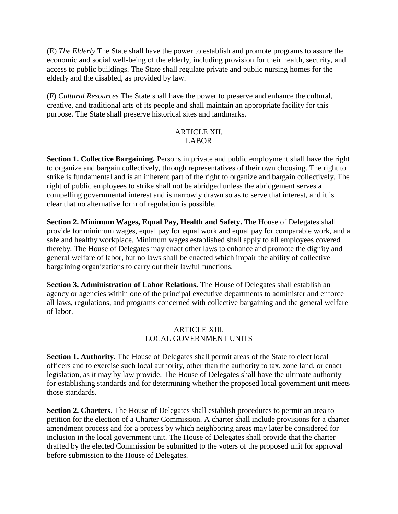(E) *The Elderly* The State shall have the power to establish and promote programs to assure the economic and social well-being of the elderly, including provision for their health, security, and access to public buildings. The State shall regulate private and public nursing homes for the elderly and the disabled, as provided by law.

(F) *Cultural Resources* The State shall have the power to preserve and enhance the cultural, creative, and traditional arts of its people and shall maintain an appropriate facility for this purpose. The State shall preserve historical sites and landmarks.

### ARTICLE XII. LABOR

**Section 1. Collective Bargaining.** Persons in private and public employment shall have the right to organize and bargain collectively, through representatives of their own choosing. The right to strike is fundamental and is an inherent part of the right to organize and bargain collectively. The right of public employees to strike shall not be abridged unless the abridgement serves a compelling governmental interest and is narrowly drawn so as to serve that interest, and it is clear that no alternative form of regulation is possible.

**Section 2. Minimum Wages, Equal Pay, Health and Safety.** The House of Delegates shall provide for minimum wages, equal pay for equal work and equal pay for comparable work, and a safe and healthy workplace. Minimum wages established shall apply to all employees covered thereby. The House of Delegates may enact other laws to enhance and promote the dignity and general welfare of labor, but no laws shall be enacted which impair the ability of collective bargaining organizations to carry out their lawful functions.

**Section 3. Administration of Labor Relations.** The House of Delegates shall establish an agency or agencies within one of the principal executive departments to administer and enforce all laws, regulations, and programs concerned with collective bargaining and the general welfare of labor.

## ARTICLE XIII. LOCAL GOVERNMENT UNITS

**Section 1. Authority.** The House of Delegates shall permit areas of the State to elect local officers and to exercise such local authority, other than the authority to tax, zone land, or enact legislation, as it may by law provide. The House of Delegates shall have the ultimate authority for establishing standards and for determining whether the proposed local government unit meets those standards.

**Section 2. Charters.** The House of Delegates shall establish procedures to permit an area to petition for the election of a Charter Commission. A charter shall include provisions for a charter amendment process and for a process by which neighboring areas may later be considered for inclusion in the local government unit. The House of Delegates shall provide that the charter drafted by the elected Commission be submitted to the voters of the proposed unit for approval before submission to the House of Delegates.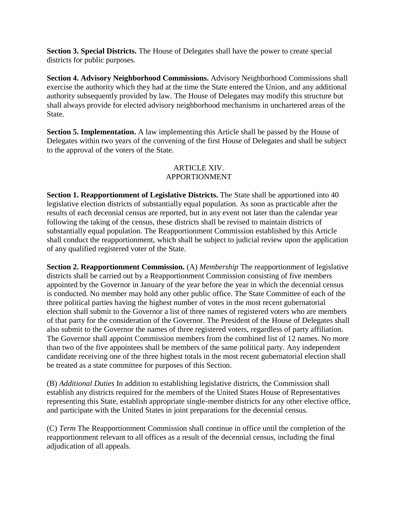**Section 3. Special Districts.** The House of Delegates shall have the power to create special districts for public purposes.

**Section 4. Advisory Neighborhood Commissions.** Advisory Neighborhood Commissions shall exercise the authority which they had at the time the State entered the Union, and any additional authority subsequently provided by law. The House of Delegates may modify this structure but shall always provide for elected advisory neighborhood mechanisms in unchartered areas of the State.

**Section 5. Implementation.** A law implementing this Article shall be passed by the House of Delegates within two years of the convening of the first House of Delegates and shall be subject to the approval of the voters of the State.

# ARTICLE XIV. APPORTIONMENT

**Section 1. Reapportionment of Legislative Districts.** The State shall be apportioned into 40 legislative election districts of substantially equal population. As soon as practicable after the results of each decennial census are reported, but in any event not later than the calendar year following the taking of the census, these districts shall be revised to maintain districts of substantially equal population. The Reapportionment Commission established by this Article shall conduct the reapportionment, which shall be subject to judicial review upon the application of any qualified registered voter of the State.

**Section 2. Reapportionment Commission.** (A) *Membership* The reapportionment of legislative districts shall be carried out by a Reapportionment Commission consisting of five members appointed by the Governor in January of the year before the year in which the decennial census is conducted. No member may hold any other public office. The State Committee of each of the three political parties having the highest number of votes in the most recent gubernatorial election shall submit to the Governor a list of three names of registered voters who are members of that party for the consideration of the Governor. The President of the House of Delegates shall also submit to the Governor the names of three registered voters, regardless of party affiliation. The Governor shall appoint Commission members from the combined list of 12 names. No more than two of the five appointees shall be members of the same political party. Any independent candidate receiving one of the three highest totals in the most recent gubernatorial election shall be treated as a state committee for purposes of this Section.

(B) *Additional Duties* In addition to establishing legislative districts, the Commission shall establish any districts required for the members of the United States House of Representatives representing this State, establish appropriate single-member districts for any other elective office, and participate with the United States in joint preparations for the decennial census.

(C) *Term* The Reapportionment Commission shall continue in office until the completion of the reapportionment relevant to all offices as a result of the decennial census, including the final adjudication of all appeals.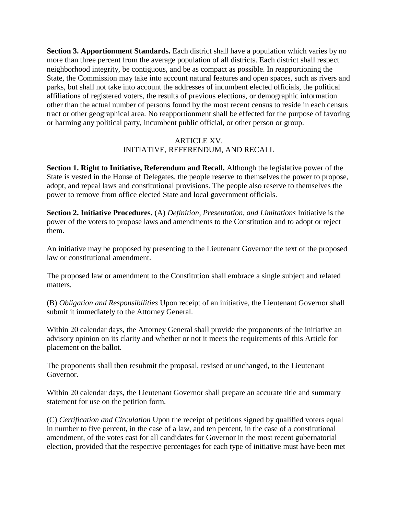**Section 3. Apportionment Standards.** Each district shall have a population which varies by no more than three percent from the average population of all districts. Each district shall respect neighborhood integrity, be contiguous, and be as compact as possible. In reapportioning the State, the Commission may take into account natural features and open spaces, such as rivers and parks, but shall not take into account the addresses of incumbent elected officials, the political affiliations of registered voters, the results of previous elections, or demographic information other than the actual number of persons found by the most recent census to reside in each census tract or other geographical area. No reapportionment shall be effected for the purpose of favoring or harming any political party, incumbent public official, or other person or group.

## ARTICLE XV. INITIATIVE, REFERENDUM, AND RECALL

**Section 1. Right to Initiative, Referendum and Recall.** Although the legislative power of the State is vested in the House of Delegates, the people reserve to themselves the power to propose, adopt, and repeal laws and constitutional provisions. The people also reserve to themselves the power to remove from office elected State and local government officials.

**Section 2. Initiative Procedures.** (A) *Definition, Presentation, and Limitations* Initiative is the power of the voters to propose laws and amendments to the Constitution and to adopt or reject them.

An initiative may be proposed by presenting to the Lieutenant Governor the text of the proposed law or constitutional amendment.

The proposed law or amendment to the Constitution shall embrace a single subject and related matters.

(B) *Obligation and Responsibilities* Upon receipt of an initiative, the Lieutenant Governor shall submit it immediately to the Attorney General.

Within 20 calendar days, the Attorney General shall provide the proponents of the initiative an advisory opinion on its clarity and whether or not it meets the requirements of this Article for placement on the ballot.

The proponents shall then resubmit the proposal, revised or unchanged, to the Lieutenant Governor.

Within 20 calendar days, the Lieutenant Governor shall prepare an accurate title and summary statement for use on the petition form.

(C) *Certification and Circulation* Upon the receipt of petitions signed by qualified voters equal in number to five percent, in the case of a law, and ten percent, in the case of a constitutional amendment, of the votes cast for all candidates for Governor in the most recent gubernatorial election, provided that the respective percentages for each type of initiative must have been met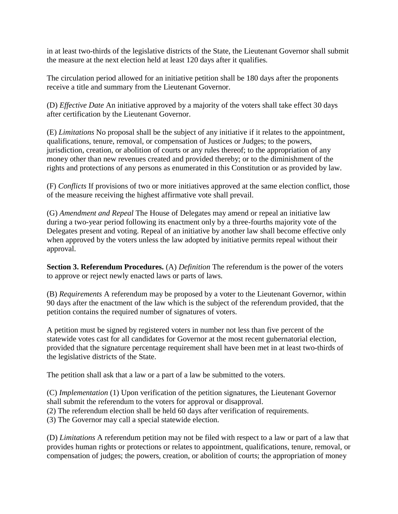in at least two-thirds of the legislative districts of the State, the Lieutenant Governor shall submit the measure at the next election held at least 120 days after it qualifies.

The circulation period allowed for an initiative petition shall be 180 days after the proponents receive a title and summary from the Lieutenant Governor.

(D) *Effective Date* An initiative approved by a majority of the voters shall take effect 30 days after certification by the Lieutenant Governor.

(E) *Limitations* No proposal shall be the subject of any initiative if it relates to the appointment, qualifications, tenure, removal, or compensation of Justices or Judges; to the powers, jurisdiction, creation, or abolition of courts or any rules thereof; to the appropriation of any money other than new revenues created and provided thereby; or to the diminishment of the rights and protections of any persons as enumerated in this Constitution or as provided by law.

(F) *Conflicts* If provisions of two or more initiatives approved at the same election conflict, those of the measure receiving the highest affirmative vote shall prevail.

(G) *Amendment and Repeal* The House of Delegates may amend or repeal an initiative law during a two-year period following its enactment only by a three-fourths majority vote of the Delegates present and voting. Repeal of an initiative by another law shall become effective only when approved by the voters unless the law adopted by initiative permits repeal without their approval.

**Section 3. Referendum Procedures.** (A) *Definition* The referendum is the power of the voters to approve or reject newly enacted laws or parts of laws.

(B) *Requirements* A referendum may be proposed by a voter to the Lieutenant Governor, within 90 days after the enactment of the law which is the subject of the referendum provided, that the petition contains the required number of signatures of voters.

A petition must be signed by registered voters in number not less than five percent of the statewide votes cast for all candidates for Governor at the most recent gubernatorial election, provided that the signature percentage requirement shall have been met in at least two-thirds of the legislative districts of the State.

The petition shall ask that a law or a part of a law be submitted to the voters.

(C) *Implementation* (1) Upon verification of the petition signatures, the Lieutenant Governor shall submit the referendum to the voters for approval or disapproval.

(2) The referendum election shall be held 60 days after verification of requirements.

(3) The Governor may call a special statewide election.

(D) *Limitations* A referendum petition may not be filed with respect to a law or part of a law that provides human rights or protections or relates to appointment, qualifications, tenure, removal, or compensation of judges; the powers, creation, or abolition of courts; the appropriation of money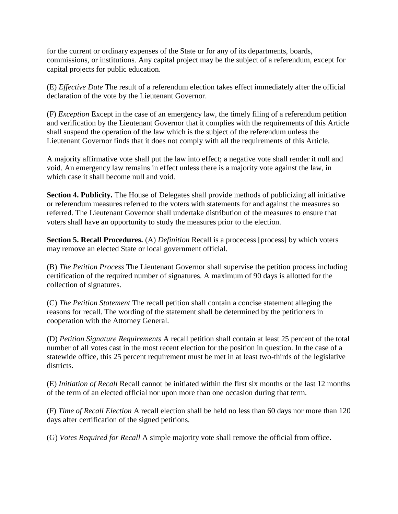for the current or ordinary expenses of the State or for any of its departments, boards, commissions, or institutions. Any capital project may be the subject of a referendum, except for capital projects for public education.

(E) *Effective Date* The result of a referendum election takes effect immediately after the official declaration of the vote by the Lieutenant Governor.

(F) *Exception* Except in the case of an emergency law, the timely filing of a referendum petition and verification by the Lieutenant Governor that it complies with the requirements of this Article shall suspend the operation of the law which is the subject of the referendum unless the Lieutenant Governor finds that it does not comply with all the requirements of this Article.

A majority affirmative vote shall put the law into effect; a negative vote shall render it null and void. An emergency law remains in effect unless there is a majority vote against the law, in which case it shall become null and void.

**Section 4. Publicity.** The House of Delegates shall provide methods of publicizing all initiative or referendum measures referred to the voters with statements for and against the measures so referred. The Lieutenant Governor shall undertake distribution of the measures to ensure that voters shall have an opportunity to study the measures prior to the election.

**Section 5. Recall Procedures.** (A) *Definition* Recall is a procecess [process] by which voters may remove an elected State or local government official.

(B) *The Petition Process* The Lieutenant Governor shall supervise the petition process including certification of the required number of signatures. A maximum of 90 days is allotted for the collection of signatures.

(C) *The Petition Statement* The recall petition shall contain a concise statement alleging the reasons for recall. The wording of the statement shall be determined by the petitioners in cooperation with the Attorney General.

(D) *Petition Signature Requirements* A recall petition shall contain at least 25 percent of the total number of all votes cast in the most recent election for the position in question. In the case of a statewide office, this 25 percent requirement must be met in at least two-thirds of the legislative districts.

(E) *Initiation of Recall* Recall cannot be initiated within the first six months or the last 12 months of the term of an elected official nor upon more than one occasion during that term.

(F) *Time of Recall Election* A recall election shall be held no less than 60 days nor more than 120 days after certification of the signed petitions.

(G) *Votes Required for Recall* A simple majority vote shall remove the official from office.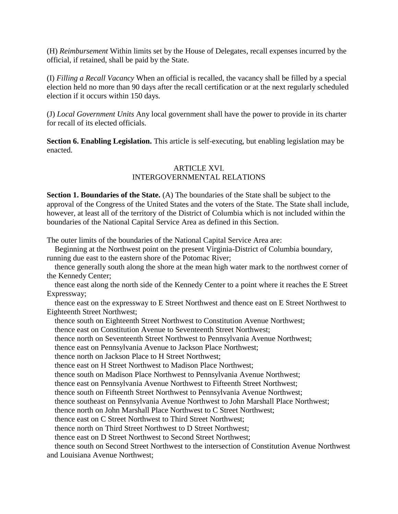(H) *Reimbursement* Within limits set by the House of Delegates, recall expenses incurred by the official, if retained, shall be paid by the State.

(I) *Filling a Recall Vacancy* When an official is recalled, the vacancy shall be filled by a special election held no more than 90 days after the recall certification or at the next regularly scheduled election if it occurs within 150 days.

(J) *Local Government Units* Any local government shall have the power to provide in its charter for recall of its elected officials.

**Section 6. Enabling Legislation.** This article is self-executing, but enabling legislation may be enacted.

## ARTICLE XVI. INTERGOVERNMENTAL RELATIONS

**Section 1. Boundaries of the State.** (A) The boundaries of the State shall be subject to the approval of the Congress of the United States and the voters of the State. The State shall include, however, at least all of the territory of the District of Columbia which is not included within the boundaries of the National Capital Service Area as defined in this Section.

The outer limits of the boundaries of the National Capital Service Area are:

 Beginning at the Northwest point on the present Virginia-District of Columbia boundary, running due east to the eastern shore of the Potomac River;

 thence generally south along the shore at the mean high water mark to the northwest corner of the Kennedy Center;

 thence east along the north side of the Kennedy Center to a point where it reaches the E Street Expressway;

 thence east on the expressway to E Street Northwest and thence east on E Street Northwest to Eighteenth Street Northwest;

thence south on Eighteenth Street Northwest to Constitution Avenue Northwest;

thence east on Constitution Avenue to Seventeenth Street Northwest;

thence north on Seventeenth Street Northwest to Pennsylvania Avenue Northwest;

thence east on Pennsylvania Avenue to Jackson Place Northwest;

thence north on Jackson Place to H Street Northwest;

thence east on H Street Northwest to Madison Place Northwest;

thence south on Madison Place Northwest to Pennsylvania Avenue Northwest;

thence east on Pennsylvania Avenue Northwest to Fifteenth Street Northwest;

thence south on Fifteenth Street Northwest to Pennsylvania Avenue Northwest;

thence southeast on Pennsylvania Avenue Northwest to John Marshall Place Northwest;

thence north on John Marshall Place Northwest to C Street Northwest;

thence east on C Street Northwest to Third Street Northwest;

thence north on Third Street Northwest to D Street Northwest;

thence east on D Street Northwest to Second Street Northwest;

 thence south on Second Street Northwest to the intersection of Constitution Avenue Northwest and Louisiana Avenue Northwest;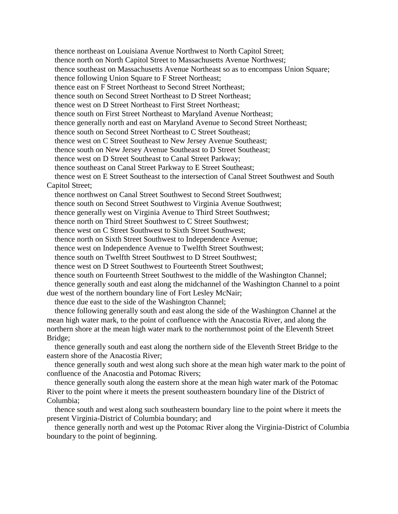thence northeast on Louisiana Avenue Northwest to North Capitol Street; thence north on North Capitol Street to Massachusetts Avenue Northwest; thence southeast on Massachusetts Avenue Northeast so as to encompass Union Square; thence following Union Square to F Street Northeast; thence east on F Street Northeast to Second Street Northeast; thence south on Second Street Northeast to D Street Northeast; thence west on D Street Northeast to First Street Northeast; thence south on First Street Northeast to Maryland Avenue Northeast; thence generally north and east on Maryland Avenue to Second Street Northeast; thence south on Second Street Northeast to C Street Southeast; thence west on C Street Southeast to New Jersey Avenue Southeast; thence south on New Jersey Avenue Southeast to D Street Southeast; thence west on D Street Southeast to Canal Street Parkway; thence southeast on Canal Street Parkway to E Street Southeast; thence west on E Street Southeast to the intersection of Canal Street Southwest and South Capitol Street; thence northwest on Canal Street Southwest to Second Street Southwest;

 thence south on Second Street Southwest to Virginia Avenue Southwest; thence generally west on Virginia Avenue to Third Street Southwest;

thence north on Third Street Southwest to C Street Southwest;

thence west on C Street Southwest to Sixth Street Southwest;

thence north on Sixth Street Southwest to Independence Avenue;

thence west on Independence Avenue to Twelfth Street Southwest;

thence south on Twelfth Street Southwest to D Street Southwest;

thence west on D Street Southwest to Fourteenth Street Southwest;

thence south on Fourteenth Street Southwest to the middle of the Washington Channel;

 thence generally south and east along the midchannel of the Washington Channel to a point due west of the northern boundary line of Fort Lesley McNair;

thence due east to the side of the Washington Channel;

 thence following generally south and east along the side of the Washington Channel at the mean high water mark, to the point of confluence with the Anacostia River, and along the northern shore at the mean high water mark to the northernmost point of the Eleventh Street Bridge;

 thence generally south and east along the northern side of the Eleventh Street Bridge to the eastern shore of the Anacostia River;

 thence generally south and west along such shore at the mean high water mark to the point of confluence of the Anacostia and Potomac Rivers;

 thence generally south along the eastern shore at the mean high water mark of the Potomac River to the point where it meets the present southeastern boundary line of the District of Columbia;

 thence south and west along such southeastern boundary line to the point where it meets the present Virginia-District of Columbia boundary; and

 thence generally north and west up the Potomac River along the Virginia-District of Columbia boundary to the point of beginning.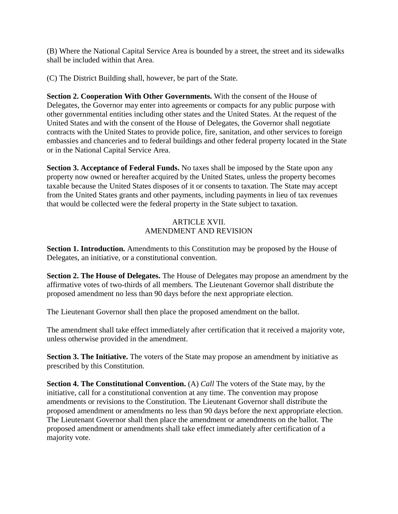(B) Where the National Capital Service Area is bounded by a street, the street and its sidewalks shall be included within that Area.

(C) The District Building shall, however, be part of the State.

**Section 2. Cooperation With Other Governments.** With the consent of the House of Delegates, the Governor may enter into agreements or compacts for any public purpose with other governmental entities including other states and the United States. At the request of the United States and with the consent of the House of Delegates, the Governor shall negotiate contracts with the United States to provide police, fire, sanitation, and other services to foreign embassies and chanceries and to federal buildings and other federal property located in the State or in the National Capital Service Area.

**Section 3. Acceptance of Federal Funds.** No taxes shall be imposed by the State upon any property now owned or hereafter acquired by the United States, unless the property becomes taxable because the United States disposes of it or consents to taxation. The State may accept from the United States grants and other payments, including payments in lieu of tax revenues that would be collected were the federal property in the State subject to taxation.

# ARTICLE XVII. AMENDMENT AND REVISION

**Section 1. Introduction.** Amendments to this Constitution may be proposed by the House of Delegates, an initiative, or a constitutional convention.

**Section 2. The House of Delegates.** The House of Delegates may propose an amendment by the affirmative votes of two-thirds of all members. The Lieutenant Governor shall distribute the proposed amendment no less than 90 days before the next appropriate election.

The Lieutenant Governor shall then place the proposed amendment on the ballot.

The amendment shall take effect immediately after certification that it received a majority vote, unless otherwise provided in the amendment.

**Section 3. The Initiative.** The voters of the State may propose an amendment by initiative as prescribed by this Constitution.

**Section 4. The Constitutional Convention.** (A) *Call* The voters of the State may, by the initiative, call for a constitutional convention at any time. The convention may propose amendments or revisions to the Constitution. The Lieutenant Governor shall distribute the proposed amendment or amendments no less than 90 days before the next appropriate election. The Lieutenant Governor shall then place the amendment or amendments on the ballot. The proposed amendment or amendments shall take effect immediately after certification of a majority vote.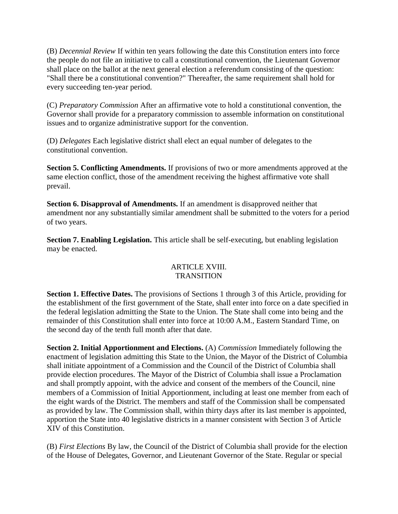(B) *Decennial Review* If within ten years following the date this Constitution enters into force the people do not file an initiative to call a constitutional convention, the Lieutenant Governor shall place on the ballot at the next general election a referendum consisting of the question: "Shall there be a constitutional convention?" Thereafter, the same requirement shall hold for every succeeding ten-year period.

(C) *Preparatory Commission* After an affirmative vote to hold a constitutional convention, the Governor shall provide for a preparatory commission to assemble information on constitutional issues and to organize administrative support for the convention.

(D) *Delegates* Each legislative district shall elect an equal number of delegates to the constitutional convention.

**Section 5. Conflicting Amendments.** If provisions of two or more amendments approved at the same election conflict, those of the amendment receiving the highest affirmative vote shall prevail.

**Section 6. Disapproval of Amendments.** If an amendment is disapproved neither that amendment nor any substantially similar amendment shall be submitted to the voters for a period of two years.

**Section 7. Enabling Legislation.** This article shall be self-executing, but enabling legislation may be enacted.

### ARTICLE XVIII. **TRANSITION**

**Section 1. Effective Dates.** The provisions of Sections 1 through 3 of this Article, providing for the establishment of the first government of the State, shall enter into force on a date specified in the federal legislation admitting the State to the Union. The State shall come into being and the remainder of this Constitution shall enter into force at 10:00 A.M., Eastern Standard Time, on the second day of the tenth full month after that date.

**Section 2. Initial Apportionment and Elections.** (A) *Commission* Immediately following the enactment of legislation admitting this State to the Union, the Mayor of the District of Columbia shall initiate appointment of a Commission and the Council of the District of Columbia shall provide election procedures. The Mayor of the District of Columbia shall issue a Proclamation and shall promptly appoint, with the advice and consent of the members of the Council, nine members of a Commission of Initial Apportionment, including at least one member from each of the eight wards of the District. The members and staff of the Commission shall be compensated as provided by law. The Commission shall, within thirty days after its last member is appointed, apportion the State into 40 legislative districts in a manner consistent with Section 3 of Article XIV of this Constitution.

(B) *First Elections* By law, the Council of the District of Columbia shall provide for the election of the House of Delegates, Governor, and Lieutenant Governor of the State. Regular or special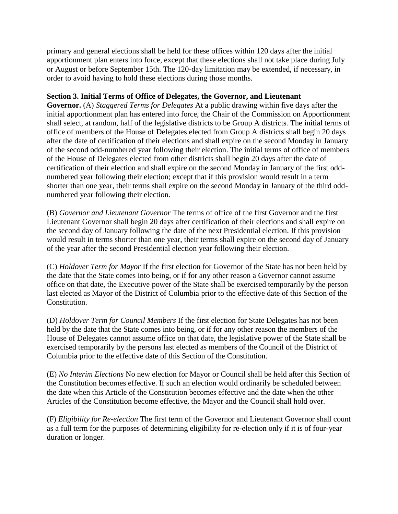primary and general elections shall be held for these offices within 120 days after the initial apportionment plan enters into force, except that these elections shall not take place during July or August or before September 15th. The 120-day limitation may be extended, if necessary, in order to avoid having to hold these elections during those months.

### **Section 3. Initial Terms of Office of Delegates, the Governor, and Lieutenant**

**Governor.** (A) *Staggered Terms for Delegates* At a public drawing within five days after the initial apportionment plan has entered into force, the Chair of the Commission on Apportionment shall select, at random, half of the legislative districts to be Group A districts. The initial terms of office of members of the House of Delegates elected from Group A districts shall begin 20 days after the date of certification of their elections and shall expire on the second Monday in January of the second odd-numbered year following their election. The initial terms of office of members of the House of Delegates elected from other districts shall begin 20 days after the date of certification of their election and shall expire on the second Monday in January of the first oddnumbered year following their election; except that if this provision would result in a term shorter than one year, their terms shall expire on the second Monday in January of the third oddnumbered year following their election.

(B) *Governor and Lieutenant Governor* The terms of office of the first Governor and the first Lieutenant Governor shall begin 20 days after certification of their elections and shall expire on the second day of January following the date of the next Presidential election. If this provision would result in terms shorter than one year, their terms shall expire on the second day of January of the year after the second Presidential election year following their election.

(C) *Holdover Term for Mayor* If the first election for Governor of the State has not been held by the date that the State comes into being, or if for any other reason a Governor cannot assume office on that date, the Executive power of the State shall be exercised temporarily by the person last elected as Mayor of the District of Columbia prior to the effective date of this Section of the Constitution.

(D) *Holdover Term for Council Members* If the first election for State Delegates has not been held by the date that the State comes into being, or if for any other reason the members of the House of Delegates cannot assume office on that date, the legislative power of the State shall be exercised temporarily by the persons last elected as members of the Council of the District of Columbia prior to the effective date of this Section of the Constitution.

(E) *No Interim Elections* No new election for Mayor or Council shall be held after this Section of the Constitution becomes effective. If such an election would ordinarily be scheduled between the date when this Article of the Constitution becomes effective and the date when the other Articles of the Constitution become effective, the Mayor and the Council shall hold over.

(F) *Eligibility for Re-election* The first term of the Governor and Lieutenant Governor shall count as a full term for the purposes of determining eligibility for re-election only if it is of four-year duration or longer.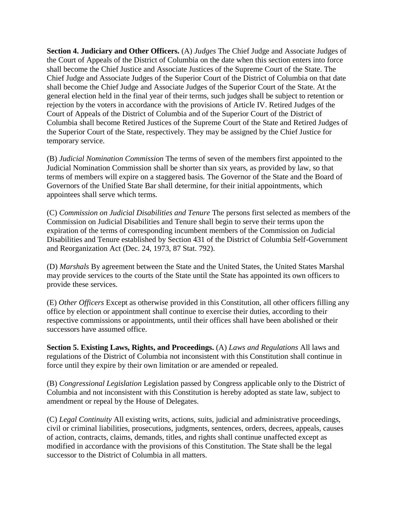**Section 4. Judiciary and Other Officers.** (A) *Judges* The Chief Judge and Associate Judges of the Court of Appeals of the District of Columbia on the date when this section enters into force shall become the Chief Justice and Associate Justices of the Supreme Court of the State. The Chief Judge and Associate Judges of the Superior Court of the District of Columbia on that date shall become the Chief Judge and Associate Judges of the Superior Court of the State. At the general election held in the final year of their terms, such judges shall be subject to retention or rejection by the voters in accordance with the provisions of Article IV. Retired Judges of the Court of Appeals of the District of Columbia and of the Superior Court of the District of Columbia shall become Retired Justices of the Supreme Court of the State and Retired Judges of the Superior Court of the State, respectively. They may be assigned by the Chief Justice for temporary service.

(B) *Judicial Nomination Commission* The terms of seven of the members first appointed to the Judicial Nomination Commission shall be shorter than six years, as provided by law, so that terms of members will expire on a staggered basis. The Governor of the State and the Board of Governors of the Unified State Bar shall determine, for their initial appointments, which appointees shall serve which terms.

(C) *Commission on Judicial Disabilities and Tenure* The persons first selected as members of the Commission on Judicial Disabilities and Tenure shall begin to serve their terms upon the expiration of the terms of corresponding incumbent members of the Commission on Judicial Disabilities and Tenure established by Section 431 of the District of Columbia Self-Government and Reorganization Act (Dec. 24, 1973, 87 Stat. 792).

(D) *Marshals* By agreement between the State and the United States, the United States Marshal may provide services to the courts of the State until the State has appointed its own officers to provide these services.

(E) *Other Officers* Except as otherwise provided in this Constitution, all other officers filling any office by election or appointment shall continue to exercise their duties, according to their respective commissions or appointments, until their offices shall have been abolished or their successors have assumed office.

**Section 5. Existing Laws, Rights, and Proceedings.** (A) *Laws and Regulations* All laws and regulations of the District of Columbia not inconsistent with this Constitution shall continue in force until they expire by their own limitation or are amended or repealed.

(B) *Congressional Legislation* Legislation passed by Congress applicable only to the District of Columbia and not inconsistent with this Constitution is hereby adopted as state law, subject to amendment or repeal by the House of Delegates.

(C) *Legal Continuity* All existing writs, actions, suits, judicial and administrative proceedings, civil or criminal liabilities, prosecutions, judgments, sentences, orders, decrees, appeals, causes of action, contracts, claims, demands, titles, and rights shall continue unaffected except as modified in accordance with the provisions of this Constitution. The State shall be the legal successor to the District of Columbia in all matters.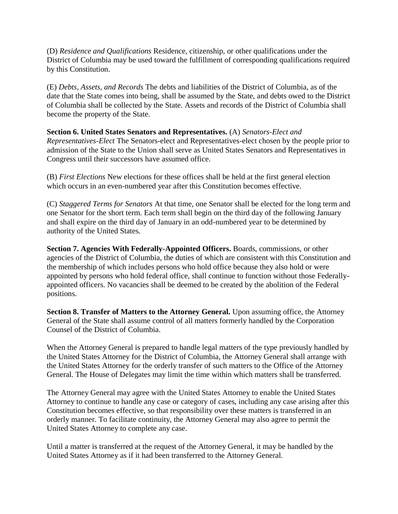(D) *Residence and Qualifications* Residence, citizenship, or other qualifications under the District of Columbia may be used toward the fulfillment of corresponding qualifications required by this Constitution.

(E) *Debts, Assets, and Records* The debts and liabilities of the District of Columbia, as of the date that the State comes into being, shall be assumed by the State, and debts owed to the District of Columbia shall be collected by the State. Assets and records of the District of Columbia shall become the property of the State.

## **Section 6. United States Senators and Representatives.** (A) *Senators-Elect and Representatives-Elect* The Senators-elect and Representatives-elect chosen by the people prior to admission of the State to the Union shall serve as United States Senators and Representatives in Congress until their successors have assumed office.

(B) *First Elections* New elections for these offices shall be held at the first general election which occurs in an even-numbered year after this Constitution becomes effective.

(C) *Staggered Terms for Senators* At that time, one Senator shall be elected for the long term and one Senator for the short term. Each term shall begin on the third day of the following January and shall expire on the third day of January in an odd-numbered year to be determined by authority of the United States.

**Section 7. Agencies With Federally-Appointed Officers.** Boards, commissions, or other agencies of the District of Columbia, the duties of which are consistent with this Constitution and the membership of which includes persons who hold office because they also hold or were appointed by persons who hold federal office, shall continue to function without those Federallyappointed officers. No vacancies shall be deemed to be created by the abolition of the Federal positions.

**Section 8. Transfer of Matters to the Attorney General.** Upon assuming office, the Attorney General of the State shall assume control of all matters formerly handled by the Corporation Counsel of the District of Columbia.

When the Attorney General is prepared to handle legal matters of the type previously handled by the United States Attorney for the District of Columbia, the Attorney General shall arrange with the United States Attorney for the orderly transfer of such matters to the Office of the Attorney General. The House of Delegates may limit the time within which matters shall be transferred.

The Attorney General may agree with the United States Attorney to enable the United States Attorney to continue to handle any case or category of cases, including any case arising after this Constitution becomes effective, so that responsibility over these matters is transferred in an orderly manner. To facilitate continuity, the Attorney General may also agree to permit the United States Attorney to complete any case.

Until a matter is transferred at the request of the Attorney General, it may be handled by the United States Attorney as if it had been transferred to the Attorney General.